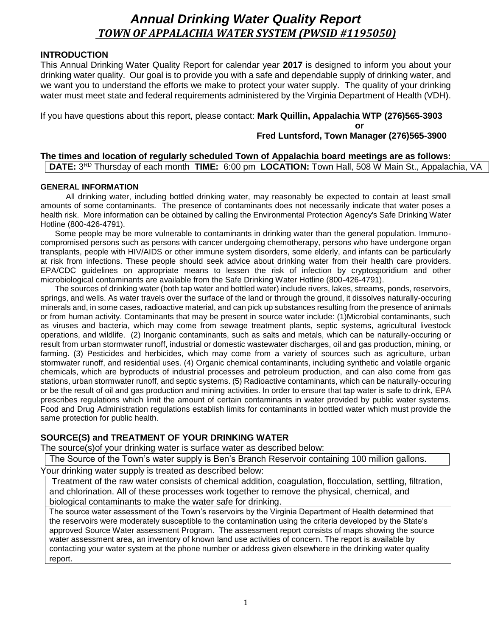# *Annual Drinking Water Quality Report TOWN OF APPALACHIA WATER SYSTEM (PWSID #1195050)*

# **INTRODUCTION**

This Annual Drinking Water Quality Report for calendar year **2017** is designed to inform you about your drinking water quality. Our goal is to provide you with a safe and dependable supply of drinking water, and we want you to understand the efforts we make to protect your water supply. The quality of your drinking water must meet state and federal requirements administered by the Virginia Department of Health (VDH).

If you have questions about this report, please contact: **Mark Quillin, Appalachia WTP (276)565-3903**

**or** 

# **Fred Luntsford, Town Manager (276)565-3900**

## **The times and location of regularly scheduled Town of Appalachia board meetings are as follows: DATE:** 3<sup>RD</sup> Thursday of each month **TIME:** 6:00 pm **LOCATION:** Town Hall, 508 W Main St., Appalachia, VA

# **GENERAL INFORMATION**

All drinking water, including bottled drinking water, may reasonably be expected to contain at least small amounts of some contaminants. The presence of contaminants does not necessarily indicate that water poses a health risk. More information can be obtained by calling the Environmental Protection Agency's Safe Drinking Water Hotline (800-426-4791).

Some people may be more vulnerable to contaminants in drinking water than the general population. Immunocompromised persons such as persons with cancer undergoing chemotherapy, persons who have undergone organ transplants, people with HIV/AIDS or other immune system disorders, some elderly, and infants can be particularly at risk from infections. These people should seek advice about drinking water from their health care providers. EPA/CDC guidelines on appropriate means to lessen the risk of infection by cryptosporidium and other microbiological contaminants are available from the Safe Drinking Water Hotline (800-426-4791).

The sources of drinking water (both tap water and bottled water) include rivers, lakes, streams, ponds, reservoirs, springs, and wells. As water travels over the surface of the land or through the ground, it dissolves naturally-occuring minerals and, in some cases, radioactive material, and can pick up substances resulting from the presence of animals or from human activity. Contaminants that may be present in source water include: (1)Microbial contaminants, such as viruses and bacteria, which may come from sewage treatment plants, septic systems, agricultural livestock operations, and wildlife. (2) Inorganic contaminants, such as salts and metals, which can be naturally-occuring or result from urban stormwater runoff, industrial or domestic wastewater discharges, oil and gas production, mining, or farming. (3) Pesticides and herbicides, which may come from a variety of sources such as agriculture, urban stormwater runoff, and residential uses. (4) Organic chemical contaminants, including synthetic and volatile organic chemicals, which are byproducts of industrial processes and petroleum production, and can also come from gas stations, urban stormwater runoff, and septic systems. (5) Radioactive contaminants, which can be naturally-occuring or be the result of oil and gas production and mining activities. In order to ensure that tap water is safe to drink, EPA prescribes regulations which limit the amount of certain contaminants in water provided by public water systems. Food and Drug Administration regulations establish limits for contaminants in bottled water which must provide the same protection for public health.

# **SOURCE(S) and TREATMENT OF YOUR DRINKING WATER**

The source(s)of your drinking water is surface water as described below:

The Source of the Town's water supply is Ben's Branch Reservoir containing 100 million gallons.

Your drinking water supply is treated as described below:

Treatment of the raw water consists of chemical addition, coagulation, flocculation, settling, filtration, and chlorination. All of these processes work together to remove the physical, chemical, and biological contaminants to make the water safe for drinking.

The source water assessment of the Town's reservoirs by the Virginia Department of Health determined that the reservoirs were moderately susceptible to the contamination using the criteria developed by the State's approved Source Water assessment Program. The assessment report consists of maps showing the source water assessment area, an inventory of known land use activities of concern. The report is available by contacting your water system at the phone number or address given elsewhere in the drinking water quality report.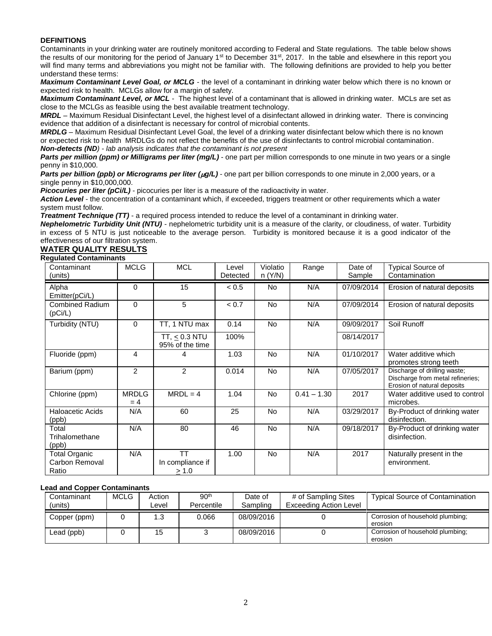### **DEFINITIONS**

Contaminants in your drinking water are routinely monitored according to Federal and State regulations. The table below shows the results of our monitoring for the period of January 1<sup>st</sup> to December 31<sup>st</sup>, 2017. In the table and elsewhere in this report you will find many terms and abbreviations you might not be familiar with. The following definitions are provided to help you better understand these terms:

*Maximum Contaminant Level Goal, or MCLG -* the level of a contaminant in drinking water below which there is no known or expected risk to health. MCLGs allow for a margin of safety.

*Maximum Contaminant Level, or MCL* - The highest level of a contaminant that is allowed in drinking water. MCLs are set as close to the MCLGs as feasible using the best available treatment technology.

*MRDL –* Maximum Residual Disinfectant Level, the highest level of a disinfectant allowed in drinking water. There is convincing evidence that addition of a disinfectant is necessary for control of microbial contents.

*MRDLG –* Maximum Residual Disinfectant Level Goal, the level of a drinking water disinfectant below which there is no known or expected risk to health MRDLGs do not reflect the benefits of the use of disinfectants to control microbial contamination.

*Non-detects (ND) - lab analysis indicates that the contaminant is not present*

**Parts per million (ppm) or Milligrams per liter (mg/L)** - one part per million corresponds to one minute in two vears or a single penny in \$10,000.

Parts per billion (ppb) or Micrograms per liter ( $\mu q/L$ ) - one part per billion corresponds to one minute in 2,000 years, or a single penny in \$10,000,000.

**Picocuries per liter (pCi/L)** - picocuries per liter is a measure of the radioactivity in water.

*Action Level* - the concentration of a contaminant which, if exceeded, triggers treatment or other requirements which a water system must follow.

*Treatment Technique (TT)* - a required process intended to reduce the level of a contaminant in drinking water.

*Nephelometric Turbidity Unit (NTU)* - nephelometric turbidity unit is a measure of the clarity, or cloudiness, of water. Turbidity in excess of 5 NTU is just noticeable to the average person. Turbidity is monitored because it is a good indicator of the effectiveness of our filtration system.

# **WATER QUALITY RESULTS**

# **Regulated Contaminants**

| Contaminant<br>(units)                          | <b>MCLG</b>         | <b>MCL</b>                             | Level<br>Detected | Violatio<br>n (Y/N) | Range         | Date of<br>Sample | <b>Typical Source of</b><br>Contamination                                                       |
|-------------------------------------------------|---------------------|----------------------------------------|-------------------|---------------------|---------------|-------------------|-------------------------------------------------------------------------------------------------|
| Alpha<br>Emitter(pCi/L)                         | 0                   | 15                                     | < 0.5             | No                  | N/A           | 07/09/2014        | Erosion of natural deposits                                                                     |
| <b>Combined Radium</b><br>(pCi/L)               | $\Omega$            | 5                                      | < 0.7             | <b>No</b>           | N/A           | 07/09/2014        | Erosion of natural deposits                                                                     |
| Turbidity (NTU)                                 | 0                   | TT, 1 NTU max                          | 0.14              | No.                 | N/A           | 09/09/2017        | Soil Runoff                                                                                     |
|                                                 |                     | TT, $\leq$ 0.3 NTU<br>95% of the time  | 100%              |                     |               | 08/14/2017        |                                                                                                 |
| Fluoride (ppm)                                  | 4                   | 4                                      | 1.03              | No                  | N/A           | 01/10/2017        | Water additive which<br>promotes strong teeth                                                   |
| Barium (ppm)                                    | $\overline{2}$      | $\overline{2}$                         | 0.014             | No                  | N/A           | 07/05/2017        | Discharge of drilling waste;<br>Discharge from metal refineries;<br>Erosion of natural deposits |
| Chlorine (ppm)                                  | <b>MRDLG</b><br>= 4 | $MRDL = 4$                             | 1.04              | <b>No</b>           | $0.41 - 1.30$ | 2017              | Water additive used to control<br>microbes.                                                     |
| <b>Haloacetic Acids</b><br>(ppb)                | N/A                 | 60                                     | 25                | No                  | N/A           | 03/29/2017        | By-Product of drinking water<br>disinfection.                                                   |
| Total<br>Trihalomethane<br>(ppb)                | N/A                 | 80                                     | 46                | No.                 | N/A           | 09/18/2017        | By-Product of drinking water<br>disinfection.                                                   |
| <b>Total Organic</b><br>Carbon Removal<br>Ratio | N/A                 | <b>TT</b><br>In compliance if<br>> 1.0 | 1.00              | <b>No</b>           | N/A           | 2017              | Naturally present in the<br>environment.                                                        |

#### **Lead and Copper Contaminants**

| Contaminant<br>(units) | MCLG | Action<br>∟evel | 90 <sup>th</sup><br>Percentile | Date of<br>Sampling | # of Sampling Sites<br>Exceeding Action Level | <b>Typical Source of Contamination</b>      |
|------------------------|------|-----------------|--------------------------------|---------------------|-----------------------------------------------|---------------------------------------------|
| Copper (ppm)           |      | 1.3             | 0.066                          | 08/09/2016          |                                               | Corrosion of household plumbing;<br>erosion |
| Lead (ppb)             |      | 15              |                                | 08/09/2016          |                                               | Corrosion of household plumbing;<br>erosion |